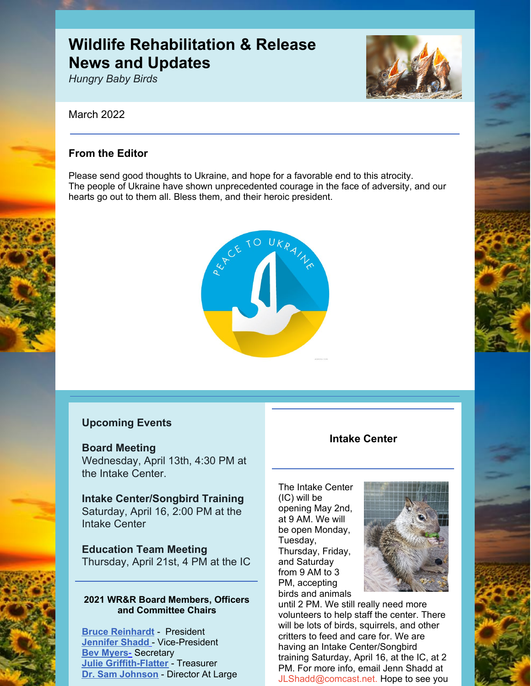# **Wildlife Rehabilitation & Release News and Updates**

*Hungry Baby Birds*

### March 2022

# **From the Editor**

Please send good thoughts to Ukraine, and hope for a favorable end to this atrocity. The people of Ukraine have shown unprecedented courage in the face of adversity, and our hearts go out to them all. Bless them, and their heroic president.



# **Upcoming Events**

#### **Board Meeting**

Wednesday, April 13th, 4:30 PM at the Intake Center.

**Intake Center/Songbird Training** Saturday, April 16, 2:00 PM at the Intake Center

# **Education Team Meeting**

Thursday, April 21st, 4 PM at the IC

#### **2021 WR&R Board Members, Officers and Committee Chairs**

**Bruce [Reinhardt](mailto:brucesre@aol.com)** - President **[Jennifer](mailto:JLShadd@comcast.net) Shadd** - Vice-President **Bev Myers**[-](mailto:mlypeterson@comcast.net) Secretary **Julie [Griffith-Flatter](mailto:jlgriff@att.net)** - Treasurer **Dr. Sam Johnson** - Director At Large

## **Intake Center**

The Intake Center (IC) will be opening May 2nd, at 9 AM. We will be open Monday, Tuesday, Thursday, Friday, and Saturday from 9 AM to 3 PM, accepting birds and animals



until 2 PM. We still really need more volunteers to help staff the center. There will be lots of birds, squirrels, and other critters to feed and care for. We are having an Intake Center/Songbird training Saturday, April 16, at the IC, at 2 PM. For more info, email Jenn Shadd at [JLShadd@comcast.net](mailto:JLShadd@comcast.net). Hope to see you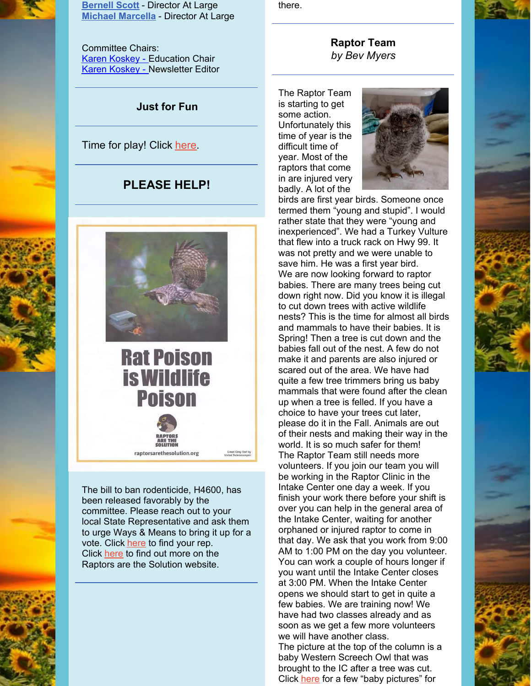

**[Bernell](mailto:bsscott1@comcast.net) Scott** - Director At Large **Michael [Marcella](mailto:tomatowazoo@yahoo.com)** - Director At Large

Committee Chairs: Karen [Koskey](mailto:kkosk6565@gmail.com) - Education Chair Karen [Koskey](mailto:kkosk6565@gmail.com) - Newsletter Editor

## **Just for Fun**

Time for play! Click [here](https://www.youtube.com/watch?v=4sPBF6kXI8Y)

# **PLEASE HELP!**



raptorsarethesolution.org

RAPTO

The bill to ban rodenticide, H4600, has been released favorably by the committee. Please reach out to your local State Representative and ask them to urge Ways & Means to bring it up for a vote. Click [here](https://calmatters.org/legislator-tracker/home/) to find your rep. Click [here](https://www.raptorsarethesolution.org/about-us/) to find out more on the Raptors are the Solution website.

there.



The Raptor Team is starting to get some action. Unfortunately this time of year is the difficult time of year. Most of the raptors that come in are injured very badly. A lot of the



birds are first year birds. Someone once termed them "young and stupid". I would rather state that they were "young and inexperienced". We had a Turkey Vulture that flew into a truck rack on Hwy 99. It was not pretty and we were unable to save him. He was a first year bird. We are now looking forward to raptor babies. There are many trees being cut down right now. Did you know it is illegal to cut down trees with active wildlife nests? This is the time for almost all birds and mammals to have their babies. It is Spring! Then a tree is cut down and the babies fall out of the nest. A few do not make it and parents are also injured or scared out of the area. We have had quite a few tree trimmers bring us baby mammals that were found after the clean up when a tree is felled. If you have a choice to have your trees cut later, please do it in the Fall. Animals are out of their nests and making their way in the world. It is so much safer for them! The Raptor Team still needs more volunteers. If you join our team you will be working in the Raptor Clinic in the Intake Center one day a week. If you finish your work there before your shift is over you can help in the general area of the Intake Center, waiting for another orphaned or injured raptor to come in that day. We ask that you work from 9:00 AM to 1:00 PM on the day you volunteer. You can work a couple of hours longer if you want until the Intake Center closes at 3:00 PM. When the Intake Center opens we should start to get in quite a few babies. We are training now! We have had two classes already and as soon as we get a few more volunteers we will have another class. The picture at the top of the column is a

baby Western Screech Owl that was brought to the IC after a tree was cut. Click [here](https://files.constantcontact.com/bfddc254501/c61d5c0b-6abd-4ee4-87ba-ab1cb561922e.png?rdr=true) for a few "baby pictures" for